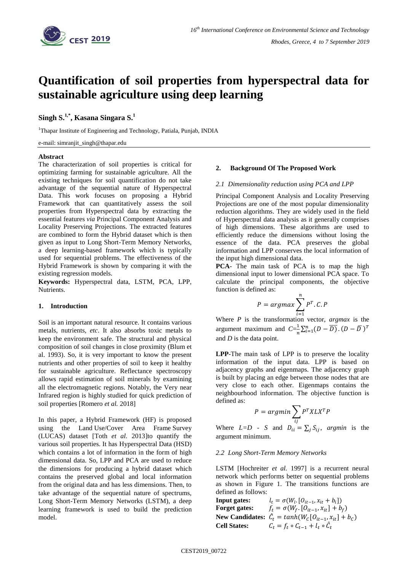

# **Quantification of soil properties from hyperspectral data for sustainable agriculture using deep learning**

# **Singh S. 1,\*, Kasana Singara S. 1**

<sup>1</sup>Thapar Institute of Engineering and Technology, Patiala, Punjab, INDIA

#### e-mail: simranjit\_singh@thapar.edu

## **Abstract**

The characterization of soil properties is critical for optimizing farming for sustainable agriculture. All the existing techniques for soil quantification do not take advantage of the sequential nature of Hyperspectral Data. This work focuses on proposing a Hybrid Framework that can quantitatively assess the soil properties from Hyperspectral data by extracting the essential features *via* Principal Component Analysis and Locality Preserving Projections. The extracted features are combined to form the Hybrid dataset which is then given as input to Long Short-Term Memory Networks, a deep learning-based framework which is typically used for sequential problems. The effectiveness of the Hybrid Framework is shown by comparing it with the existing regression models.

**Keywords:** Hyperspectral data, LSTM, PCA, LPP, Nutrients.

# **1. Introduction**

Soil is an important natural resource. It contains various metals, nutrients, *etc*. It also absorbs toxic metals to keep the environment safe. The structural and physical composition of soil changes in close proximity (Blum et al. 1993). So, it is very important to know the present nutrients and other properties of soil to keep it healthy for sustainable agriculture. Reflectance spectroscopy allows rapid estimation of soil minerals by examining all the electromagnetic regions. Notably, the Very near Infrared region is highly studied for quick prediction of soil properties [Romero *et al.* 2018]

In this paper, a Hybrid Framework (HF) is proposed using the Land Use/Cover Area Frame Survey (LUCAS) dataset [Toth *et al.* 2013]to quantify the various soil properties. It has Hyperspectral Data (HSD) which contains a lot of information in the form of high dimensional data. So, LPP and PCA are used to reduce the dimensions for producing a hybrid dataset which contains the preserved global and local information from the original data and has less dimensions. Then, to take advantage of the sequential nature of spectrums, Long Short-Term Memory Networks (LSTM), a deep learning framework is used to build the prediction model.

#### **2. Background Of The Proposed Work**

#### *2.1 Dimensionality reduction using PCA and LPP*

Principal Component Analysis and Locality Preserving Projections are one of the most popular dimensionality reduction algorithms. They are widely used in the field of Hyperspectral data analysis as it generally comprises of high dimensions. These algorithms are used to efficiently reduce the dimensions without losing the essence of the data. PCA preserves the global information and LPP conserves the local information of the input high dimensional data.

**PCA**- The main task of PCA is to map the high dimensional input to lower dimensional PCA space. To calculate the principal components, the objective function is defined as:

$$
P = argmax \sum_{i=1}^{n} P^{T} \cdot C \cdot P
$$

Where *P* is the transformation vector, *argmax* is the argument maximum and  $C=\frac{1}{x}$  $\frac{1}{n}\sum_{i=1}^n(D-\overline{D})\cdot(D-\overline{D})^T$ and *D* is the data point.

**LPP**-The main task of LPP is to preserve the locality information of the input data. LPP is based on adjacency graphs and eigenmaps. The adjacency graph is built by placing an edge between those nodes that are very close to each other. Eigenmaps contains the neighbourhood information. The objective function is defined as:

$$
P = argmin \sum_{ij} P^T X L X^T P
$$

Where  $L=D$  - *S* and  $D_{ii} = \sum_j S_{ij}$ , *argmin* is the argument minimum.

#### *2.2 Long Short-Term Memory Networks*

LSTM [Hochreiter *et al.* 1997] is a recurrent neural network which performs better on sequential problems as shown in Figure 1. The transitions functions are defined as follows:

| <b>Input gates:</b> | $l_t = \sigma(W_l, [O_{it-1}, x_{it} + b_i])$                   |
|---------------------|-----------------------------------------------------------------|
| Forget gates:       | $f_t = \sigma(W_f, [O_{it-1}, x_{it}] + b_f)$                   |
|                     | New Candidates: $\hat{C}_t = tanh(W_C[O_{it-1}, x_{it}] + b_C)$ |
| <b>Cell States:</b> | $C_t = f_t \circ C_{t-1} + l_t \circ C_t$                       |